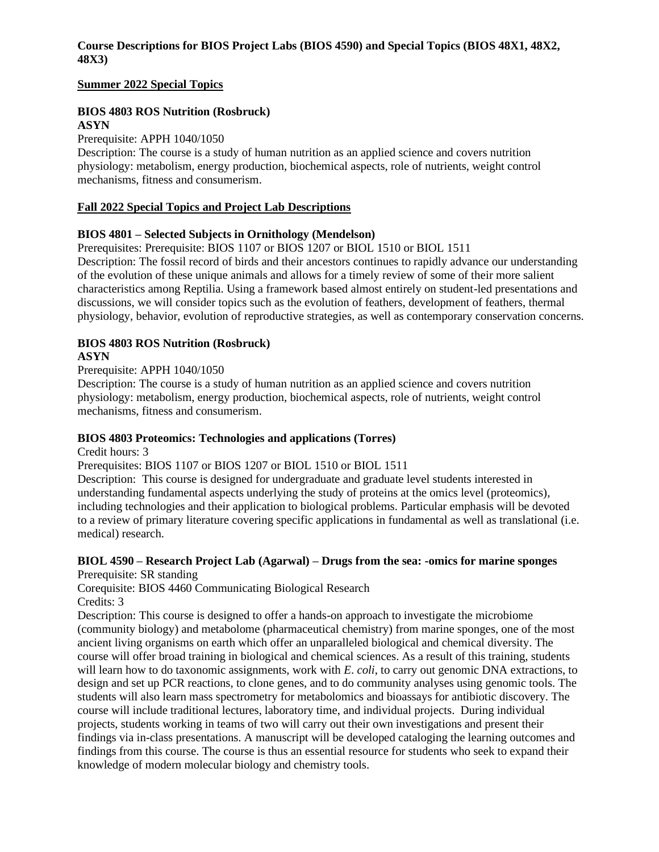### **Course Descriptions for BIOS Project Labs (BIOS 4590) and Special Topics (BIOS 48X1, 48X2, 48X3)**

#### **Summer 2022 Special Topics**

#### **BIOS 4803 ROS Nutrition (Rosbruck) ASYN**

## Prerequisite: APPH 1040/1050

Description: The course is a study of human nutrition as an applied science and covers nutrition physiology: metabolism, energy production, biochemical aspects, role of nutrients, weight control mechanisms, fitness and consumerism.

## **Fall 2022 Special Topics and Project Lab Descriptions**

## **BIOS 4801 – Selected Subjects in Ornithology (Mendelson)**

Prerequisites: Prerequisite: BIOS 1107 or BIOS 1207 or BIOL 1510 or BIOL 1511

Description: The fossil record of birds and their ancestors continues to rapidly advance our understanding of the evolution of these unique animals and allows for a timely review of some of their more salient characteristics among Reptilia. Using a framework based almost entirely on student-led presentations and discussions, we will consider topics such as the evolution of feathers, development of feathers, thermal physiology, behavior, evolution of reproductive strategies, as well as contemporary conservation concerns.

# **BIOS 4803 ROS Nutrition (Rosbruck)**

#### **ASYN**

#### Prerequisite: APPH 1040/1050

Description: The course is a study of human nutrition as an applied science and covers nutrition physiology: metabolism, energy production, biochemical aspects, role of nutrients, weight control mechanisms, fitness and consumerism.

#### **BIOS 4803 Proteomics: Technologies and applications (Torres)**

Credit hours: 3

## Prerequisites: BIOS 1107 or BIOS 1207 or BIOL 1510 or BIOL 1511

Description: This course is designed for undergraduate and graduate level students interested in understanding fundamental aspects underlying the study of proteins at the omics level (proteomics), including technologies and their application to biological problems. Particular emphasis will be devoted to a review of primary literature covering specific applications in fundamental as well as translational (i.e. medical) research.

#### **BIOL 4590 – Research Project Lab (Agarwal) – Drugs from the sea: -omics for marine sponges** Prerequisite: SR standing

Corequisite: BIOS 4460 Communicating Biological Research Credits: 3

Description: This course is designed to offer a hands-on approach to investigate the microbiome (community biology) and metabolome (pharmaceutical chemistry) from marine sponges, one of the most ancient living organisms on earth which offer an unparalleled biological and chemical diversity. The course will offer broad training in biological and chemical sciences. As a result of this training, students will learn how to do taxonomic assignments, work with *E*. *coli*, to carry out genomic DNA extractions, to design and set up PCR reactions, to clone genes, and to do community analyses using genomic tools. The students will also learn mass spectrometry for metabolomics and bioassays for antibiotic discovery. The course will include traditional lectures, laboratory time, and individual projects. During individual projects, students working in teams of two will carry out their own investigations and present their findings via in-class presentations. A manuscript will be developed cataloging the learning outcomes and findings from this course. The course is thus an essential resource for students who seek to expand their knowledge of modern molecular biology and chemistry tools.